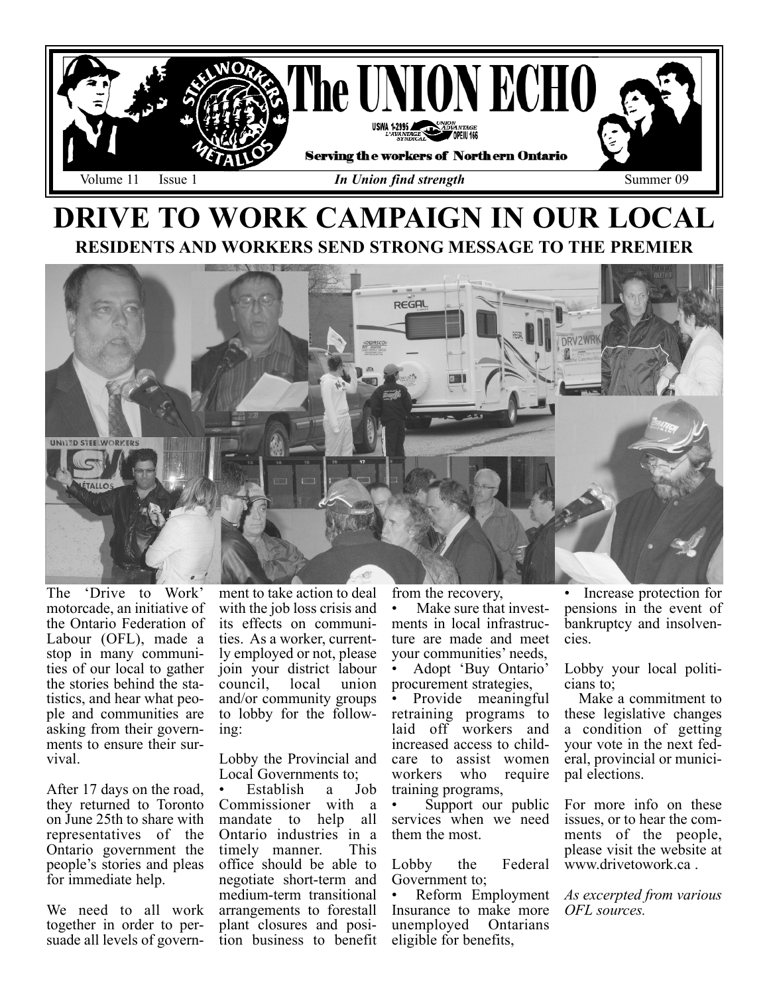

## DRIVE TO WORK CAMPAIGN IN OUR LOCAL RESIDENTS AND WORKERS SEND STRONG MESSAGE TO THE PREMIER



The 'Drive to Work' motorcade, an initiative of the Ontario Federation of Labour (OFL), made a stop in many communities of our local to gather the stories behind the statistics, and hear what people and communities are asking from their governments to ensure their survival.

After 17 days on the road, they returned to Toronto on June 25th to share with representatives of the Ontario government the people's stories and pleas for immediate help.

We need to all work together in order to persuade all levels of govern-

ment to take action to deal with the job loss crisis and its effects on communities. As a worker, currently employed or not, please join your district labour council, local union and/or community groups to lobby for the following:

Lobby the Provincial and Local Governments to;<br>• Establish a Job

Establish a Commissioner with a mandate to help all Ontario industries in a timely manner. office should be able to negotiate short-term and medium-term transitional arrangements to forestall plant closures and position business to benefit from the recovery,

Make sure that investments in local infrastructure are made and meet your communities' needs, • Adopt 'Buy Ontario' procurement strategies,

• Provide meaningful retraining programs to laid off workers and increased access to childcare to assist women workers who require training programs,

• Support our public services when we need them the most.

Lobby the Federal Government to;

• Reform Employment Insurance to make more unemployed Ontarians eligible for benefits,

• Increase protection for pensions in the event of bankruptcy and insolvencies.

Lobby your local politicians to;

Make a commitment to these legislative changes a condition of getting your vote in the next federal, provincial or municipal elections.

For more info on these issues, or to hear the comments of the people, please visit the website at www.drivetowork.ca .

As excerpted from various OFL sources.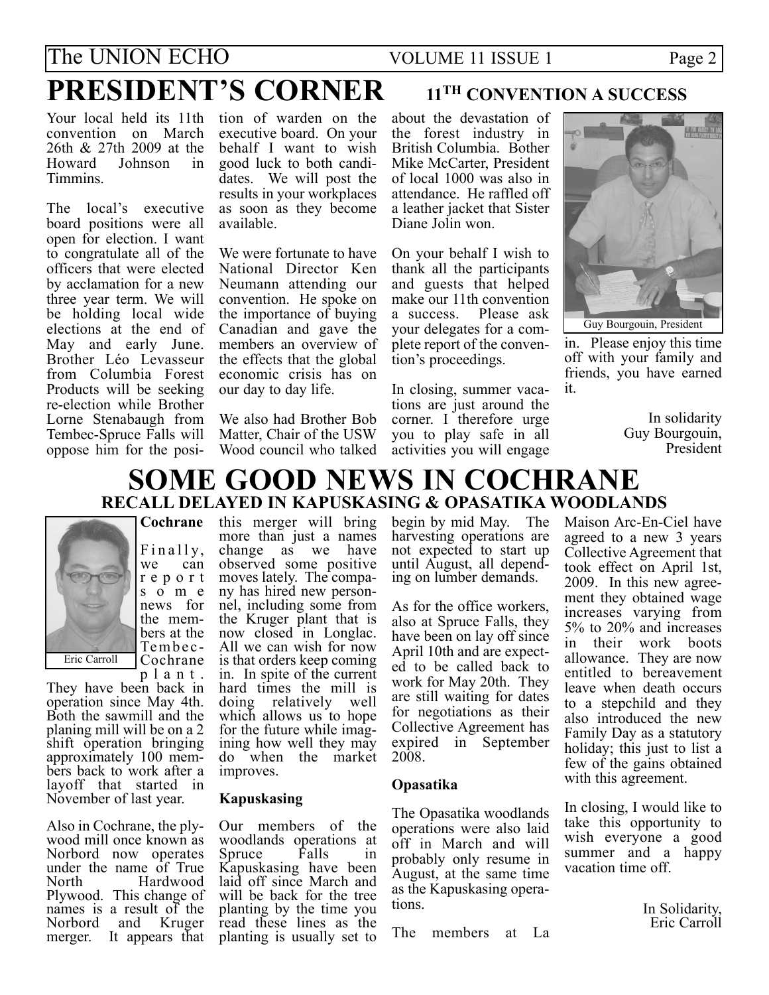# The UNION ECHO VOLUME 11 ISSUE 1 Page 2 PRESIDENT'S CORNER 11<sup>TH</sup> CONVENTION A SUCCESS

Your local held its 11th tion of warden on the convention on March 26th & 27th 2009 at the Howard Johnson in Timmins.

The local's executive board positions were all open for election. I want to congratulate all of the officers that were elected by acclamation for a new three year term. We will be holding local wide elections at the end of May and early June. Brother Léo Levasseur from Columbia Forest Products will be seeking re-election while Brother Lorne Stenabaugh from Tembec-Spruce Falls will oppose him for the posi-

executive board. On your behalf I want to wish good luck to both candidates. We will post the results in your workplaces as soon as they become available.

We were fortunate to have National Director Ken Neumann attending our convention. He spoke on the importance of buying Canadian and gave the members an overview of the effects that the global economic crisis has on our day to day life.

We also had Brother Bob Matter, Chair of the USW Wood council who talked

about the devastation of the forest industry in British Columbia. Bother Mike McCarter, President of local 1000 was also in attendance. He raffled off a leather jacket that Sister Diane Jolin won.

On your behalf I wish to thank all the participants and guests that helped make our 11th convention a success. Please ask your delegates for a complete report of the convention's proceedings.

In closing, summer vacations are just around the corner. I therefore urge you to play safe in all activities you will engage



in. Please enjoy this time off with your family and friends, you have earned it.

In solidarity Guy Bourgouin, President

### SOME GOOD NEWS IN COCHRANE RECALL DELAYED IN KAPUSKASING & OPASATIKA WOODLANDS



Finally,<br>we can can report s o m e news for the members at the Tembec-Cochrane

plant. They have been back in operation since May 4th. Both the sawmill and the planing mill will be on a 2 shift operation bringing approximately 100 members back to work after a layoff that started in November of last year.

Also in Cochrane, the plywood mill once known as Norbord now operates under the name of True North Hardwood Plywood. This change of names is a result of the<br>Norbord and Kruger Norbord and merger. It appears that

Cochrane this merger will bring more than just a names change as we have observed some positive moves lately. The company has hired new personnel, including some from the Kruger plant that is now closed in Longlac. All we can wish for now is that orders keep coming in. In spite of the current hard times the mill is doing relatively well which allows us to hope for the future while imagining how well they may do when the market improves.

### Kapuskasing

Our members of the woodlands operations at<br>Spruce Falls in Spruce Falls in Kapuskasing have been laid off since March and will be back for the tree planting by the time you read these lines as the planting is usually set to begin by mid May. The harvesting operations are not expected to start up until August, all depending on lumber demands.

As for the office workers, also at Spruce Falls, they have been on lay off since April 10th and are expected to be called back to work for May 20th. They are still waiting for dates for negotiations as their Collective Agreement has expired in September 2008.

### Opasatika

The Opasatika woodlands operations were also laid off in March and will probably only resume in August, at the same time as the Kapuskasing operations.

The members at La

Maison Arc-En-Ciel have agreed to a new 3 years Collective Agreement that took effect on April 1st, 2009. In this new agreement they obtained wage increases varying from 5% to 20% and increases in their work boots allowance. They are now entitled to bereavement leave when death occurs to a stepchild and they also introduced the new Family Day as a statutory holiday; this just to list a few of the gains obtained with this agreement.

In closing, I would like to take this opportunity to wish everyone a good summer and a happy vacation time off.

> In Solidarity, Eric Carroll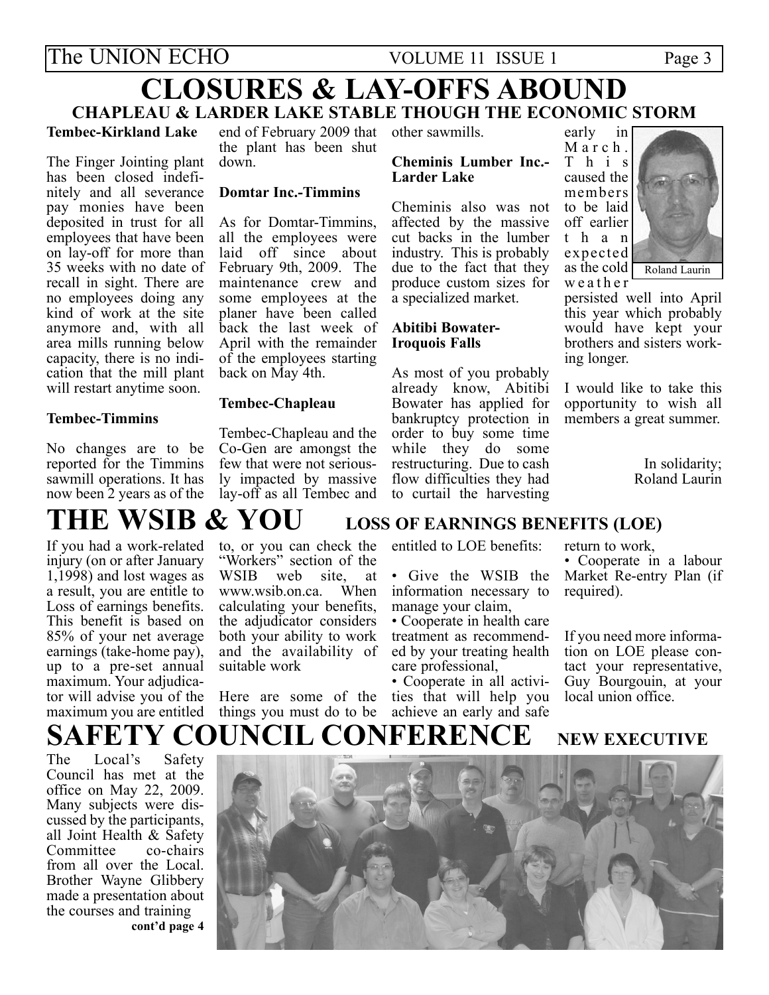## The UNION ECHO VOLUME 11 ISSUE 1 Page 3 CLOSURES & LAY-OFFS ABOUND

### CHAPLEAU & LARDER LAKE STABLE THOUGH THE ECONOMIC STORM

### Tembec-Kirkland Lake

The Finger Jointing plant has been closed indefinitely and all severance pay monies have been deposited in trust for all employees that have been on lay-off for more than 35 weeks with no date of recall in sight. There are no employees doing any kind of work at the site anymore and, with all area mills running below capacity, there is no indication that the mill plant will restart anytime soon.

### Tembec-Timmins

No changes are to be reported for the Timmins sawmill operations. It has now been 2 years as of the

end of February 2009 that other sawmills. the plant has been shut down.

### Domtar Inc.-Timmins

As for Domtar-Timmins, all the employees were laid off since about February 9th, 2009. The maintenance crew and some employees at the planer have been called back the last week of April with the remainder of the employees starting back on May 4th.

### Tembec-Chapleau

Tembec-Chapleau and the Co-Gen are amongst the few that were not seriously impacted by massive lay-off as all Tembec and

### Cheminis Lumber Inc.- Larder Lake

Cheminis also was not affected by the massive cut backs in the lumber industry. This is probably due to the fact that they produce custom sizes for a specialized market.

### Abitibi Bowater-Iroquois Falls

As most of you probably already know, Abitibi Bowater has applied for bankruptcy protection in order to buy some time while they do some restructuring. Due to cash flow difficulties they had to curtail the harvesting

March. This caused the members to be laid off earlier than expected as the cold  $\Gamma$ weather



persisted well into April this year which probably would have kept your brothers and sisters working longer.

I would like to take this opportunity to wish all members a great summer.

> In solidarity; Roland Laurin

# THE WSIB & YOU LOSS OF EARNINGS BENEFITS (LOE)

If you had a work-related injury (on or after January 1,1998) and lost wages as a result, you are entitle to Loss of earnings benefits. This benefit is based on 85% of your net average earnings (take-home pay), up to a pre-set annual maximum. Your adjudicator will advise you of the maximum you are entitled

to, or you can check the "Workers" section of the<br>WSIB web site at site, at<br>a When www.wsib.on.ca calculating your benefits, the adjudicator considers both your ability to work and the availability of suitable work

Here are some of the things you must do to be

entitled to LOE benefits:

• Give the WSIB the information necessary to manage your claim,

• Cooperate in health care treatment as recommended by your treating health care professional,

• Cooperate in all activities that will help you achieve an early and safe

return to work,

• Cooperate in a labour Market Re-entry Plan (if required).

If you need more information on LOE please contact your representative, Guy Bourgouin, at your local union office.

## SAFETY COUNCIL CONFERENCE NEW EXECUTIVE

The Local's Safety Council has met at the office on May 22, 2009. Many subjects were discussed by the participants, all Joint Health & Safety<br>Committee co-chairs Committee from all over the Local. Brother Wayne Glibbery made a presentation about the courses and training cont'd page 4